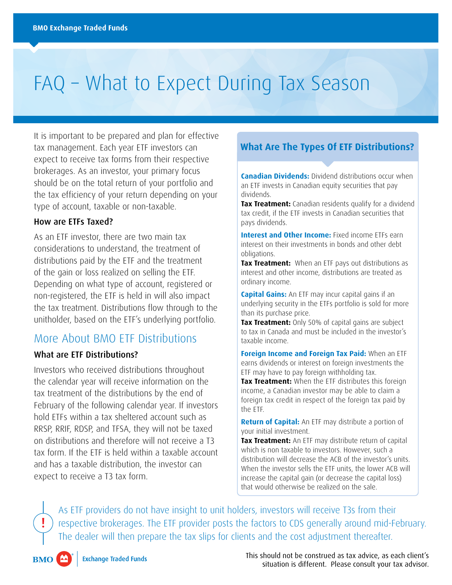# FAQ – What to Expect During Tax Season

It is important to be prepared and plan for effective tax management. Each year ETF investors can expect to receive tax forms from their respective brokerages. As an investor, your primary focus should be on the total return of your portfolio and the tax efficiency of your return depending on your type of account, taxable or non-taxable.

#### How are ETFs Taxed?

As an ETF investor, there are two main tax considerations to understand, the treatment of distributions paid by the ETF and the treatment of the gain or loss realized on selling the ETF. Depending on what type of account, registered or non-registered, the ETF is held in will also impact the tax treatment. Distributions flow through to the unitholder, based on the ETF's underlying portfolio.

### More About BMO ETF Distributions

#### What are ETF Distributions?

Investors who received distributions throughout the calendar year will receive information on the tax treatment of the distributions by the end of February of the following calendar year. If investors hold ETFs within a tax sheltered account such as RRSP, RRIF, RDSP, and TFSA, they will not be taxed on distributions and therefore will not receive a T3 tax form. If the ETF is held within a taxable account and has a taxable distribution, the investor can expect to receive a T3 tax form.

### **What Are The Types Of ETF Distributions?**

**Canadian Dividends:** Dividend distributions occur when an ETF invests in Canadian equity securities that pay dividends.

**Tax Treatment:** Canadian residents qualify for a dividend tax credit, if the ETF invests in Canadian securities that pays dividends.

**Interest and Other Income:** Fixed income ETFs earn interest on their investments in bonds and other debt obligations.

**Tax Treatment:** When an ETF pays out distributions as interest and other income, distributions are treated as ordinary income.

**Capital Gains:** An ETF may incur capital gains if an underlying security in the ETFs portfolio is sold for more than its purchase price.

**Tax Treatment:** Only 50% of capital gains are subject to tax in Canada and must be included in the investor's taxable income.

**Foreign Income and Foreign Tax Paid:** When an ETF earns dividends or interest on foreign investments the ETF may have to pay foreign withholding tax.

**Tax Treatment:** When the ETF distributes this foreign income, a Canadian investor may be able to claim a foreign tax credit in respect of the foreign tax paid by the ETF.

**Return of Capital:** An ETF may distribute a portion of your initial investment.

**Tax Treatment:** An ETF may distribute return of capital which is non taxable to investors. However, such a distribution will decrease the ACB of the investor's units. When the investor sells the ETF units, the lower ACB will increase the capital gain (or decrease the capital loss) that would otherwise be realized on the sale.

As ETF providers do not have insight to unit holders, investors will receive T3s from their respective brokerages. The ETF provider posts the factors to CDS generally around mid-February. The dealer will then prepare the tax slips for clients and the cost adjustment thereafter.

 $\overline{M}$ **BMO** 

This should not be construed as tax advice, as each client's situation is different. Please consult your tax advisor.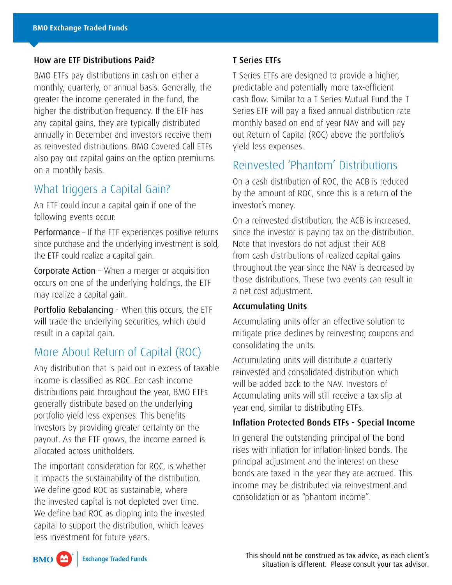#### How are ETF Distributions Paid?

BMO ETFs pay distributions in cash on either a monthly, quarterly, or annual basis. Generally, the greater the income generated in the fund, the higher the distribution frequency. If the ETF has any capital gains, they are typically distributed annually in December and investors receive them as reinvested distributions. BMO Covered Call ETFs also pay out capital gains on the option premiums on a monthly basis.

### What triggers a Capital Gain?

An ETF could incur a capital gain if one of the following events occur:

Performance – If the ETF experiences positive returns since purchase and the underlying investment is sold, the ETF could realize a capital gain.

Corporate Action – When a merger or acquisition occurs on one of the underlying holdings, the ETF may realize a capital gain.

Portfolio Rebalancing - When this occurs, the ETF will trade the underlying securities, which could result in a capital gain.

### More About Return of Capital (ROC)

Any distribution that is paid out in excess of taxable income is classified as ROC. For cash income distributions paid throughout the year, BMO ETFs generally distribute based on the underlying portfolio yield less expenses. This benefits investors by providing greater certainty on the payout. As the ETF grows, the income earned is allocated across unitholders.

The important consideration for ROC, is whether it impacts the sustainability of the distribution. We define good ROC as sustainable, where the invested capital is not depleted over time. We define bad ROC as dipping into the invested capital to support the distribution, which leaves less investment for future years.

#### T Series ETFs

T Series ETFs are designed to provide a higher, predictable and potentially more tax-efficient cash flow. Similar to a T Series Mutual Fund the T Series ETF will pay a fixed annual distribution rate monthly based on end of year NAV and will pay out Return of Capital (ROC) above the portfolio's yield less expenses.

## Reinvested 'Phantom' Distributions

On a cash distribution of ROC, the ACB is reduced by the amount of ROC, since this is a return of the investor's money.

On a reinvested distribution, the ACB is increased, since the investor is paying tax on the distribution. Note that investors do not adjust their ACB from cash distributions of realized capital gains throughout the year since the NAV is decreased by those distributions. These two events can result in a net cost adjustment.

#### Accumulating Units

Accumulating units offer an effective solution to mitigate price declines by reinvesting coupons and consolidating the units.

Accumulating units will distribute a quarterly reinvested and consolidated distribution which will be added back to the NAV. Investors of Accumulating units will still receive a tax slip at year end, similar to distributing ETFs.

#### Inflation Protected Bonds ETFs - Special Income

In general the outstanding principal of the bond rises with inflation for inflation-linked bonds. The principal adjustment and the interest on these bonds are taxed in the year they are accrued. This income may be distributed via reinvestment and consolidation or as "phantom income".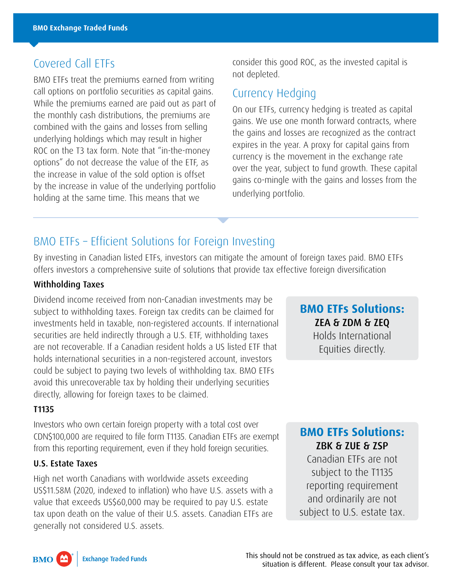# Covered Call ETFs

BMO ETFs treat the premiums earned from writing call options on portfolio securities as capital gains. While the premiums earned are paid out as part of the monthly cash distributions, the premiums are combined with the gains and losses from selling underlying holdings which may result in higher ROC on the T3 tax form. Note that "in-the-money options" do not decrease the value of the ETF, as the increase in value of the sold option is offset by the increase in value of the underlying portfolio holding at the same time. This means that we

consider this good ROC, as the invested capital is not depleted.

### Currency Hedging

On our ETFs, currency hedging is treated as capital gains. We use one month forward contracts, where the gains and losses are recognized as the contract expires in the year. A proxy for capital gains from currency is the movement in the exchange rate over the year, subject to fund growth. These capital gains co-mingle with the gains and losses from the underlying portfolio.

# BMO ETFs – Efficient Solutions for Foreign Investing

By investing in Canadian listed ETFs, investors can mitigate the amount of foreign taxes paid. BMO ETFs offers investors a comprehensive suite of solutions that provide tax effective foreign diversification

### Withholding Taxes

Dividend income received from non-Canadian investments may be subject to withholding taxes. Foreign tax credits can be claimed for investments held in taxable, non-registered accounts. If international securities are held indirectly through a U.S. ETF, withholding taxes are not recoverable. If a Canadian resident holds a US listed ETF that holds international securities in a non-registered account, investors could be subject to paying two levels of withholding tax. BMO ETFs avoid this unrecoverable tax by holding their underlying securities directly, allowing for foreign taxes to be claimed.

### T1135

Investors who own certain foreign property with a total cost over CDN\$100,000 are required to file form T1135. Canadian ETFs are exempt from this reporting requirement, even if they hold foreign securities.

#### U.S. Estate Taxes

High net worth Canadians with worldwide assets exceeding US\$11.58M (2020, indexed to inflation) who have U.S. assets with a value that exceeds US\$60,000 may be required to pay U.S. estate tax upon death on the value of their U.S. assets. Canadian ETFs are generally not considered U.S. assets.

**BMO ETFs Solutions:** ZEA & ZDM & ZEQ Holds International Equities directly.

## **BMO ETFs Solutions:** ZBK & ZUE & ZSP

Canadian ETFs are not subject to the T1135 reporting requirement and ordinarily are not subject to U.S. estate tax.